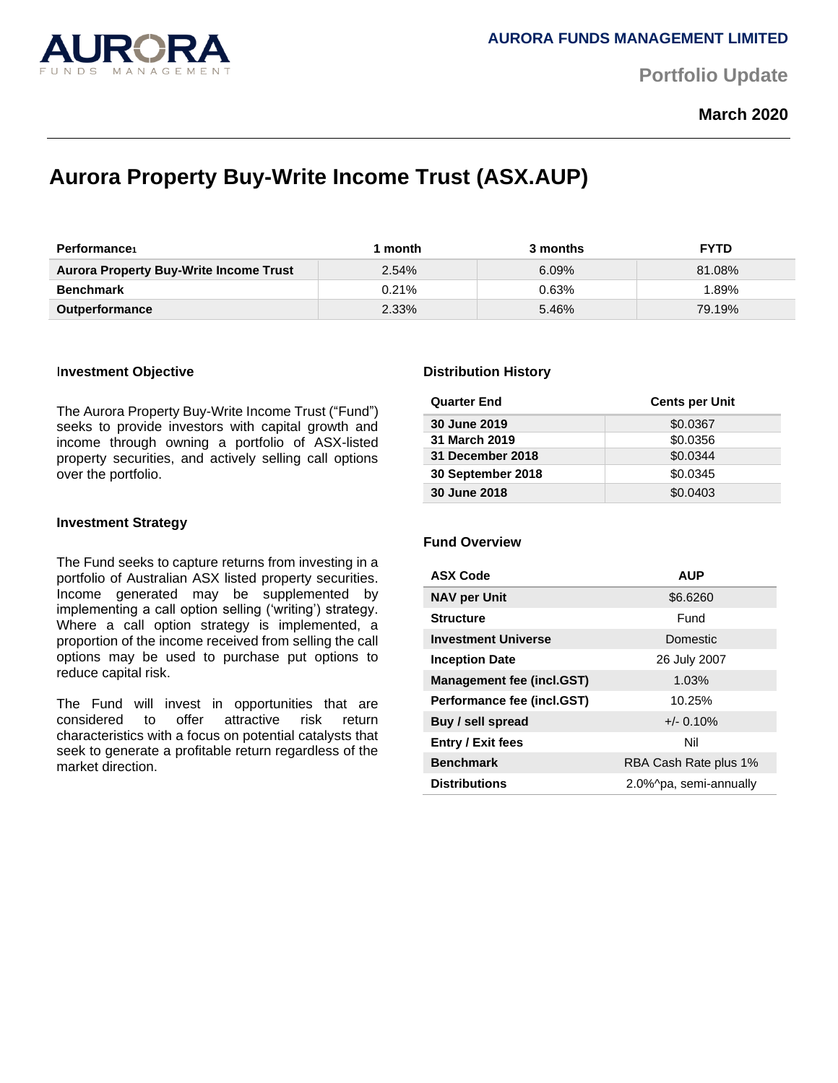

**Portfolio Update** 

**March 2020**

# **Aurora Property Buy-Write Income Trust (ASX.AUP)**

| <b>Performance</b>                            | month    | 3 months | <b>FYTD</b> |
|-----------------------------------------------|----------|----------|-------------|
| <b>Aurora Property Buy-Write Income Trust</b> | 2.54%    | $6.09\%$ | 81.08%      |
| <b>Benchmark</b>                              | $0.21\%$ | 0.63%    | .89%        |
| <b>Outperformance</b>                         | 2.33%    | 5.46%    | 79.19%      |

### I**nvestment Objective**

The Aurora Property Buy-Write Income Trust ("Fund") seeks to provide investors with capital growth and income through owning a portfolio of ASX-listed property securities, and actively selling call options over the portfolio.

### **Investment Strategy**

The Fund seeks to capture returns from investing in a portfolio of Australian ASX listed property securities. Income generated may be supplemented by implementing a call option selling ('writing') strategy. Where a call option strategy is implemented, a proportion of the income received from selling the call options may be used to purchase put options to reduce capital risk.

The Fund will invest in opportunities that are considered to offer attractive risk return characteristics with a focus on potential catalysts that seek to generate a profitable return regardless of the market direction.

### **Distribution History**

| <b>Quarter End</b> | <b>Cents per Unit</b> |
|--------------------|-----------------------|
| 30 June 2019       | \$0.0367              |
| 31 March 2019      | \$0.0356              |
| 31 December 2018   | \$0.0344              |
| 30 September 2018  | \$0.0345              |
| 30 June 2018       | \$0.0403              |

# **Fund Overview**

| <b>ASX Code</b>                  | <b>AUP</b>             |
|----------------------------------|------------------------|
| <b>NAV per Unit</b>              | \$6.6260               |
| <b>Structure</b>                 | Fund                   |
| <b>Investment Universe</b>       | <b>Domestic</b>        |
| <b>Inception Date</b>            | 26 July 2007           |
| <b>Management fee (incl.GST)</b> | 1.03%                  |
| Performance fee (incl.GST)       | 10.25%                 |
| Buy / sell spread                | $+/- 0.10%$            |
| <b>Entry / Exit fees</b>         | Nil                    |
| <b>Benchmark</b>                 | RBA Cash Rate plus 1%  |
| <b>Distributions</b>             | 2.0%^pa, semi-annually |